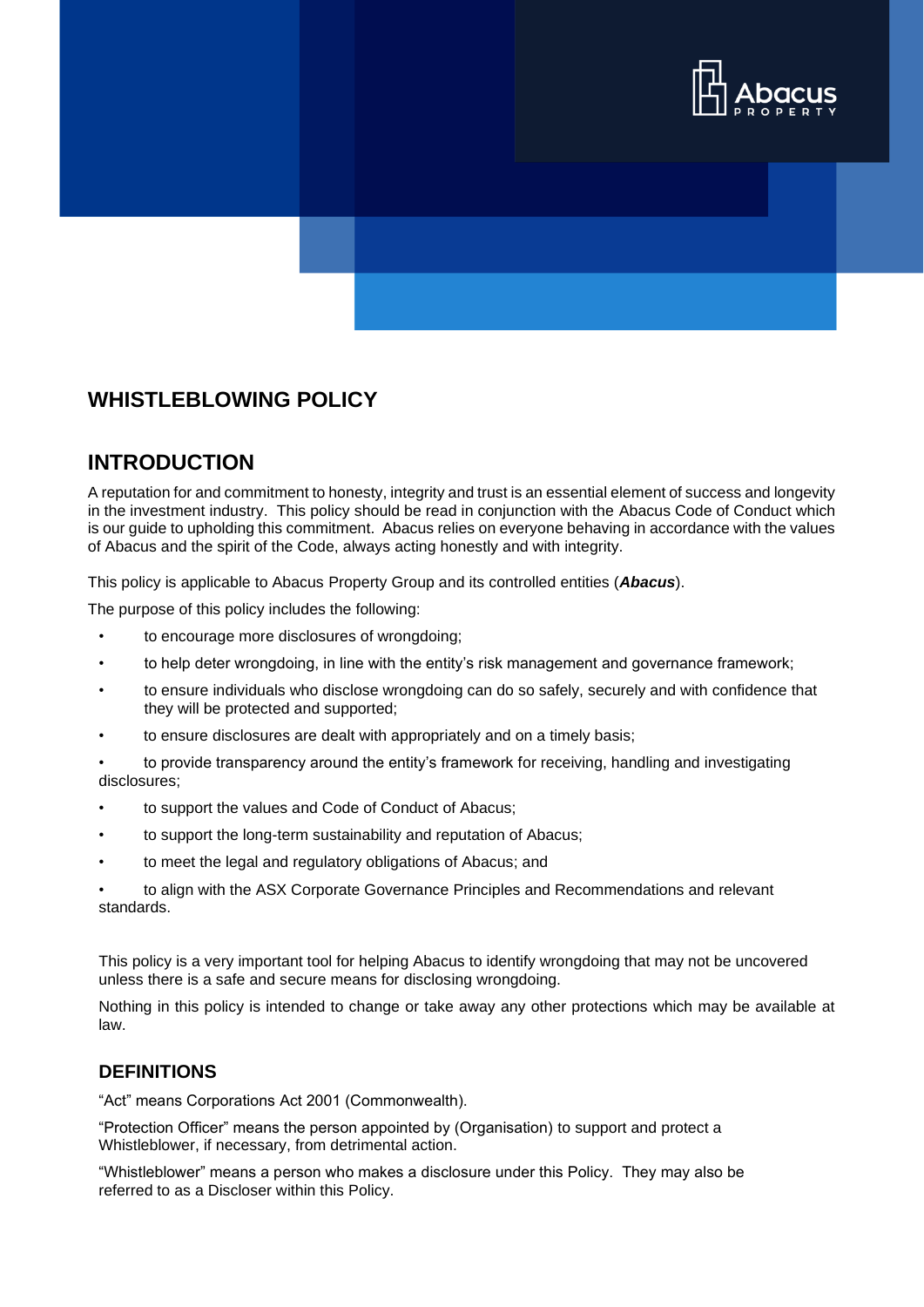

## **WHISTLEBLOWING POLICY**

#### **INTRODUCTION**

A reputation for and commitment to honesty, integrity and trust is an essential element of success and longevity in the investment industry. This policy should be read in conjunction with the Abacus Code of Conduct which is our guide to upholding this commitment. Abacus relies on everyone behaving in accordance with the values of Abacus and the spirit of the Code, always acting honestly and with integrity.

This policy is applicable to Abacus Property Group and its controlled entities (*Abacus*).

The purpose of this policy includes the following:

- to encourage more disclosures of wrongdoing;
- to help deter wrongdoing, in line with the entity's risk management and governance framework;
- to ensure individuals who disclose wrongdoing can do so safely, securely and with confidence that they will be protected and supported;
- to ensure disclosures are dealt with appropriately and on a timely basis;

• to provide transparency around the entity's framework for receiving, handling and investigating disclosures;

- to support the values and Code of Conduct of Abacus;
- to support the long-term sustainability and reputation of Abacus;
- to meet the legal and regulatory obligations of Abacus; and
- to align with the ASX Corporate Governance Principles and Recommendations and relevant standards.

This policy is a very important tool for helping Abacus to identify wrongdoing that may not be uncovered unless there is a safe and secure means for disclosing wrongdoing.

Nothing in this policy is intended to change or take away any other protections which may be available at law.

#### **DEFINITIONS**

"Act" means Corporations Act 2001 (Commonwealth).

"Protection Officer" means the person appointed by (Organisation) to support and protect a Whistleblower, if necessary, from detrimental action.

"Whistleblower" means a person who makes a disclosure under this Policy. They may also be referred to as a Discloser within this Policy.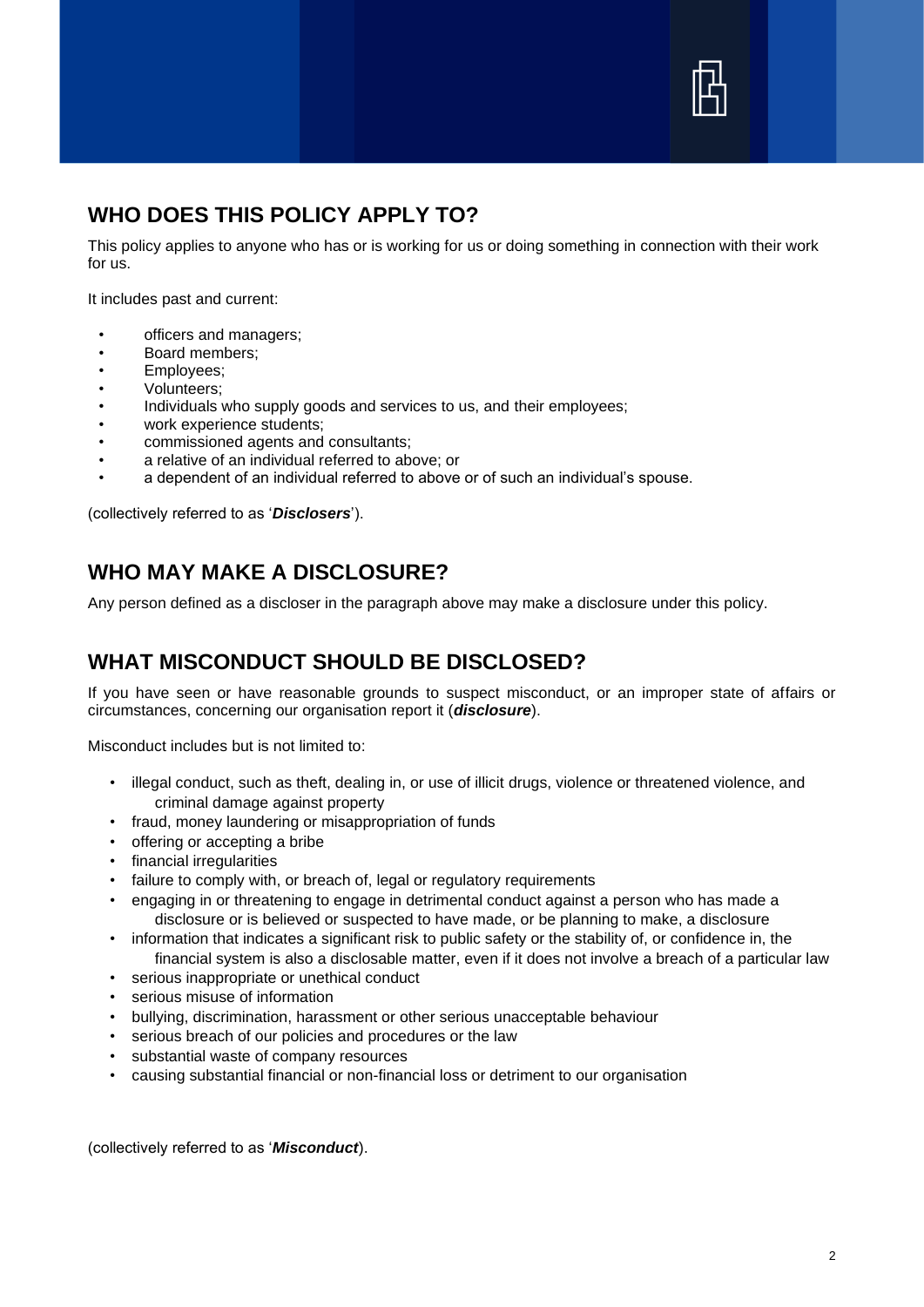

### **WHO DOES THIS POLICY APPLY TO?**

This policy applies to anyone who has or is working for us or doing something in connection with their work for us.

It includes past and current:

- officers and managers;
- Board members;
- Employees;
- Volunteers;
- Individuals who supply goods and services to us, and their employees;
- work experience students;
- commissioned agents and consultants;
- a relative of an individual referred to above; or
- a dependent of an individual referred to above or of such an individual's spouse.

(collectively referred to as '*Disclosers*').

# **WHO MAY MAKE A DISCLOSURE?**

Any person defined as a discloser in the paragraph above may make a disclosure under this policy.

## **WHAT MISCONDUCT SHOULD BE DISCLOSED?**

If you have seen or have reasonable grounds to suspect misconduct, or an improper state of affairs or circumstances, concerning our organisation report it (*disclosure*).

Misconduct includes but is not limited to:

- illegal conduct, such as theft, dealing in, or use of illicit drugs, violence or threatened violence, and criminal damage against property
- fraud, money laundering or misappropriation of funds
- offering or accepting a bribe
- financial irregularities
- failure to comply with, or breach of, legal or regulatory requirements
- engaging in or threatening to engage in detrimental conduct against a person who has made a disclosure or is believed or suspected to have made, or be planning to make, a disclosure
- information that indicates a significant risk to public safety or the stability of, or confidence in, the financial system is also a disclosable matter, even if it does not involve a breach of a particular law
- serious inappropriate or unethical conduct
- serious misuse of information
- bullying, discrimination, harassment or other serious unacceptable behaviour
- serious breach of our policies and procedures or the law
- substantial waste of company resources
- causing substantial financial or non-financial loss or detriment to our organisation

(collectively referred to as '*Misconduct*).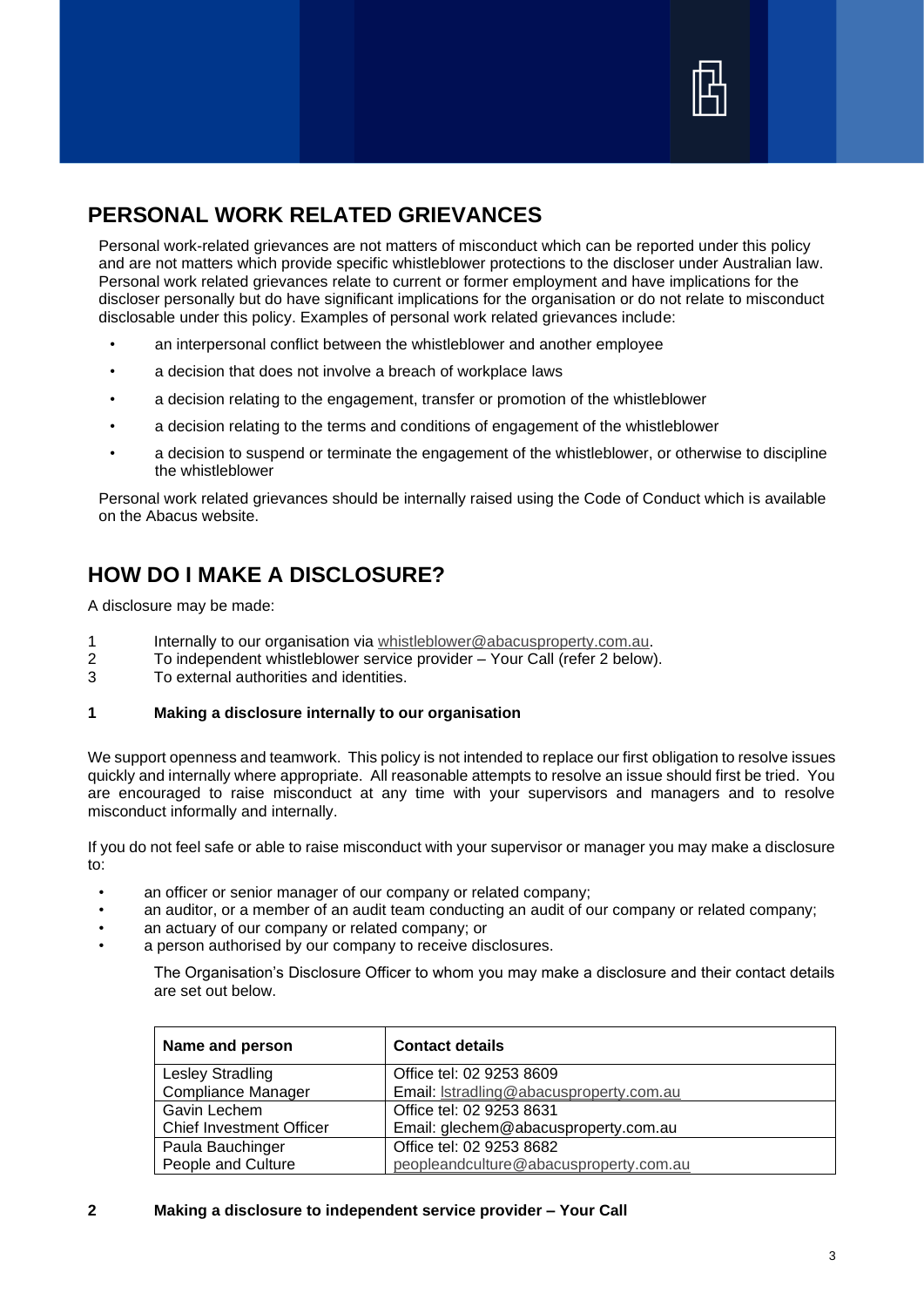

# **PERSONAL WORK RELATED GRIEVANCES**

Personal work-related grievances are not matters of misconduct which can be reported under this policy and are not matters which provide specific whistleblower protections to the discloser under Australian law. Personal work related grievances relate to current or former employment and have implications for the discloser personally but do have significant implications for the organisation or do not relate to misconduct disclosable under this policy. Examples of personal work related grievances include:

- an interpersonal conflict between the whistleblower and another employee
- a decision that does not involve a breach of workplace laws
- a decision relating to the engagement, transfer or promotion of the whistleblower
- a decision relating to the terms and conditions of engagement of the whistleblower
- a decision to suspend or terminate the engagement of the whistleblower, or otherwise to discipline the whistleblower

Personal work related grievances should be internally raised using the Code of Conduct which is available on the Abacus website.

# **HOW DO I MAKE A DISCLOSURE?**

A disclosure may be made:

- 1 Internally to our organisation via [whistleblower@abacusproperty.com.au.](mailto:whistleblower@abacusproperty.com.au)
- 2 To independent whistleblower service provider Your Call (refer 2 below).
- 3 To external authorities and identities.

#### **1 Making a disclosure internally to our organisation**

We support openness and teamwork. This policy is not intended to replace our first obligation to resolve issues quickly and internally where appropriate. All reasonable attempts to resolve an issue should first be tried. You are encouraged to raise misconduct at any time with your supervisors and managers and to resolve misconduct informally and internally.

If you do not feel safe or able to raise misconduct with your supervisor or manager you may make a disclosure to:

- an officer or senior manager of our company or related company;
- an auditor, or a member of an audit team conducting an audit of our company or related company;
- an actuary of our company or related company; or
- a person authorised by our company to receive disclosures.

The Organisation's Disclosure Officer to whom you may make a disclosure and their contact details are set out below.

| Name and person                 | <b>Contact details</b>                  |
|---------------------------------|-----------------------------------------|
| Lesley Stradling                | Office tel: 02 9253 8609                |
| <b>Compliance Manager</b>       | Email: Istradling@abacusproperty.com.au |
| Gavin Lechem                    | Office tel: 02 9253 8631                |
| <b>Chief Investment Officer</b> | Email: glechem@abacusproperty.com.au    |
| Paula Bauchinger                | Office tel: 02 9253 8682                |
| People and Culture              | peopleandculture@abacusproperty.com.au  |

#### **2 Making a disclosure to independent service provider – Your Call**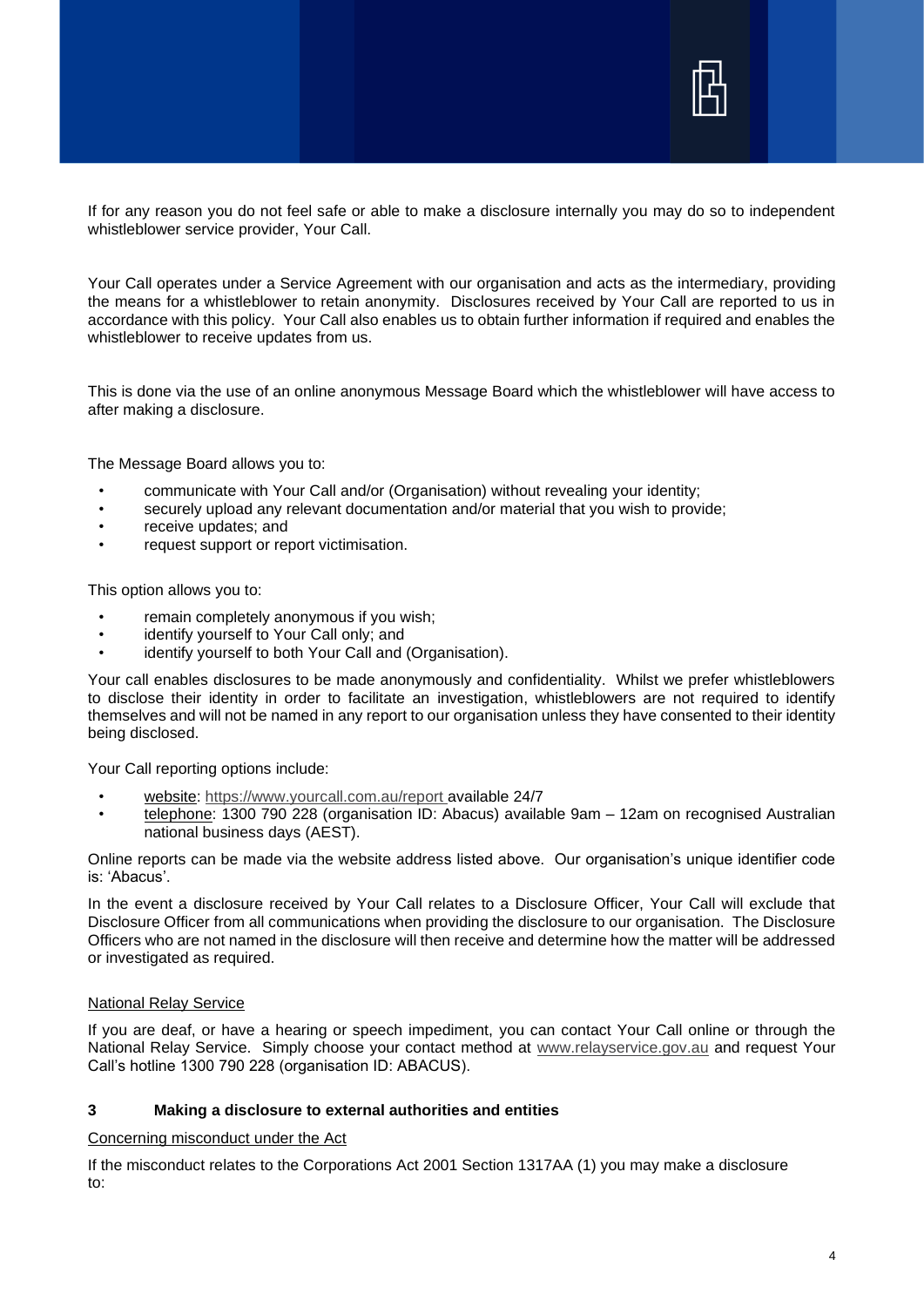

If for any reason you do not feel safe or able to make a disclosure internally you may do so to independent whistleblower service provider, Your Call.

Your Call operates under a Service Agreement with our organisation and acts as the intermediary, providing the means for a whistleblower to retain anonymity. Disclosures received by Your Call are reported to us in accordance with this policy. Your Call also enables us to obtain further information if required and enables the whistleblower to receive updates from us.

This is done via the use of an online anonymous Message Board which the whistleblower will have access to after making a disclosure.

The Message Board allows you to:

- communicate with Your Call and/or (Organisation) without revealing your identity;
- securely upload any relevant documentation and/or material that you wish to provide;
- receive updates; and
- request support or report victimisation.

This option allows you to:

- remain completely anonymous if you wish;
- identify yourself to Your Call only; and
- identify yourself to both Your Call and (Organisation).

Your call enables disclosures to be made anonymously and confidentiality. Whilst we prefer whistleblowers to disclose their identity in order to facilitate an investigation, whistleblowers are not required to identify themselves and will not be named in any report to our organisation unless they have consented to their identity being disclosed.

Your Call reporting options include:

- website:<https://www.yourcall.com.au/report> available 24/7
- telephone: 1300 790 228 (organisation ID: Abacus) available 9am 12am on recognised Australian national business days (AEST).

Online reports can be made via the website address listed above. Our organisation's unique identifier code is: 'Abacus'.

In the event a disclosure received by Your Call relates to a Disclosure Officer, Your Call will exclude that Disclosure Officer from all communications when providing the disclosure to our organisation. The Disclosure Officers who are not named in the disclosure will then receive and determine how the matter will be addressed or investigated as required.

#### National Relay Service

If you are deaf, or have a hearing or speech impediment, you can contact Your Call online or through the National Relay Service. Simply choose your contact method at [www.relayservice.gov.au](http://www.relayservice.gov.au/) and request Your Call's hotline 1300 790 228 (organisation ID: ABACUS).

#### **3 Making a disclosure to external authorities and entities**

Concerning misconduct under the Act

If the misconduct relates to the Corporations Act 2001 Section 1317AA (1) you may make a disclosure to: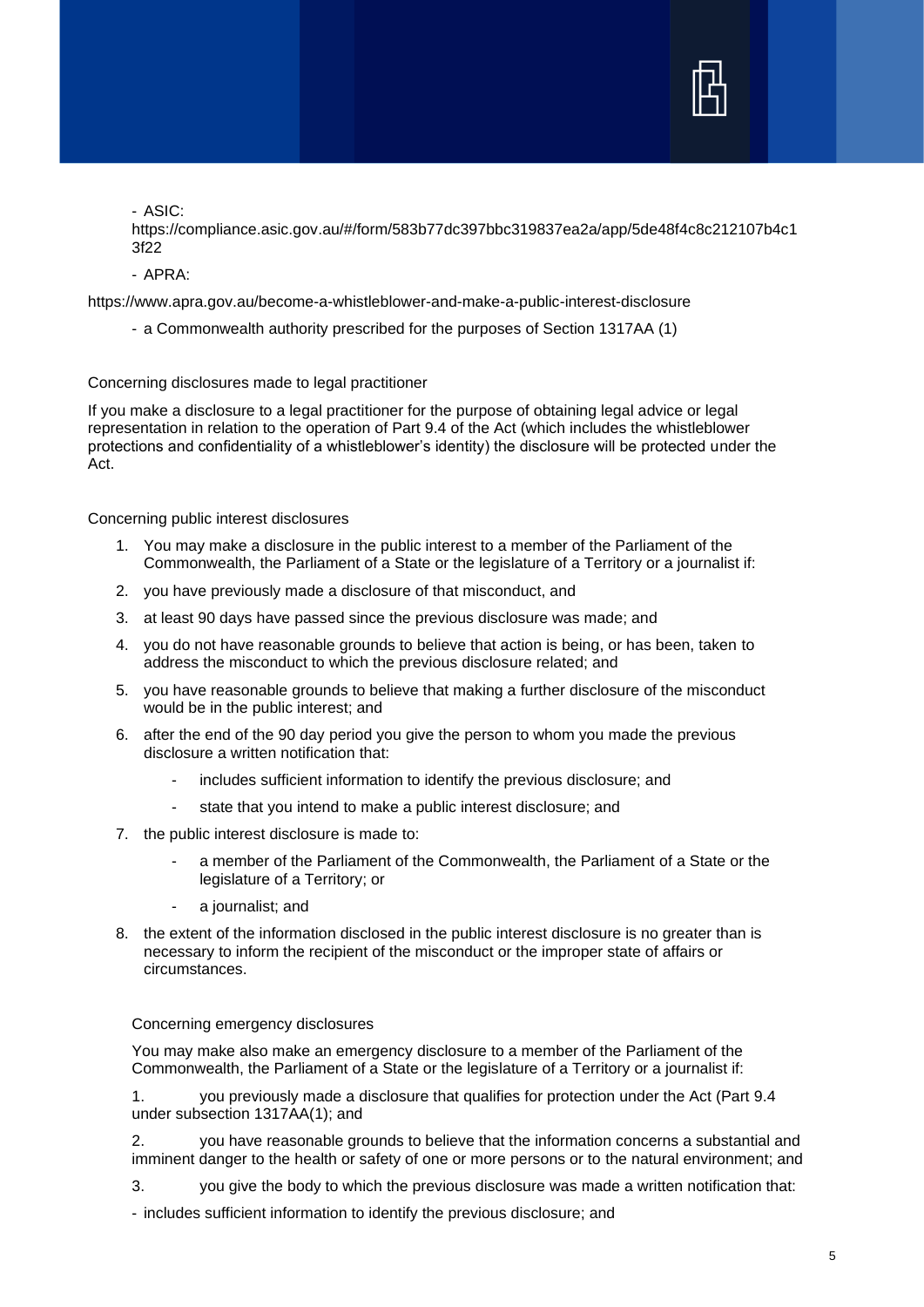

- ASIC:

https://compliance.asic.gov.au/#/form/583b77dc397bbc319837ea2a/app/5de48f4c8c212107b4c1 3f22

- APRA:

https://www.apra.gov.au/become-a-whistleblower-and-make-a-public-interest-disclosure

- a Commonwealth authority prescribed for the purposes of Section 1317AA (1)

Concerning disclosures made to legal practitioner

If you make a disclosure to a legal practitioner for the purpose of obtaining legal advice or legal representation in relation to the operation of Part 9.4 of the Act (which includes the whistleblower protections and confidentiality of a whistleblower's identity) the disclosure will be protected under the Act.

Concerning public interest disclosures

- 1. You may make a disclosure in the public interest to a member of the Parliament of the Commonwealth, the Parliament of a State or the legislature of a Territory or a journalist if:
- 2. you have previously made a disclosure of that misconduct, and
- 3. at least 90 days have passed since the previous disclosure was made; and
- 4. you do not have reasonable grounds to believe that action is being, or has been, taken to address the misconduct to which the previous disclosure related; and
- 5. you have reasonable grounds to believe that making a further disclosure of the misconduct would be in the public interest; and
- 6. after the end of the 90 day period you give the person to whom you made the previous disclosure a written notification that:
	- includes sufficient information to identify the previous disclosure; and
	- state that you intend to make a public interest disclosure; and
- 7. the public interest disclosure is made to:
	- a member of the Parliament of the Commonwealth, the Parliament of a State or the legislature of a Territory; or
	- a journalist; and
- 8. the extent of the information disclosed in the public interest disclosure is no greater than is necessary to inform the recipient of the misconduct or the improper state of affairs or circumstances.

Concerning emergency disclosures

You may make also make an emergency disclosure to a member of the Parliament of the Commonwealth, the Parliament of a State or the legislature of a Territory or a journalist if:

1. you previously made a disclosure that qualifies for protection under the Act (Part 9.4 under subsection 1317AA(1); and

2. you have reasonable grounds to believe that the information concerns a substantial and imminent danger to the health or safety of one or more persons or to the natural environment; and

3. you give the body to which the previous disclosure was made a written notification that:

- includes sufficient information to identify the previous disclosure; and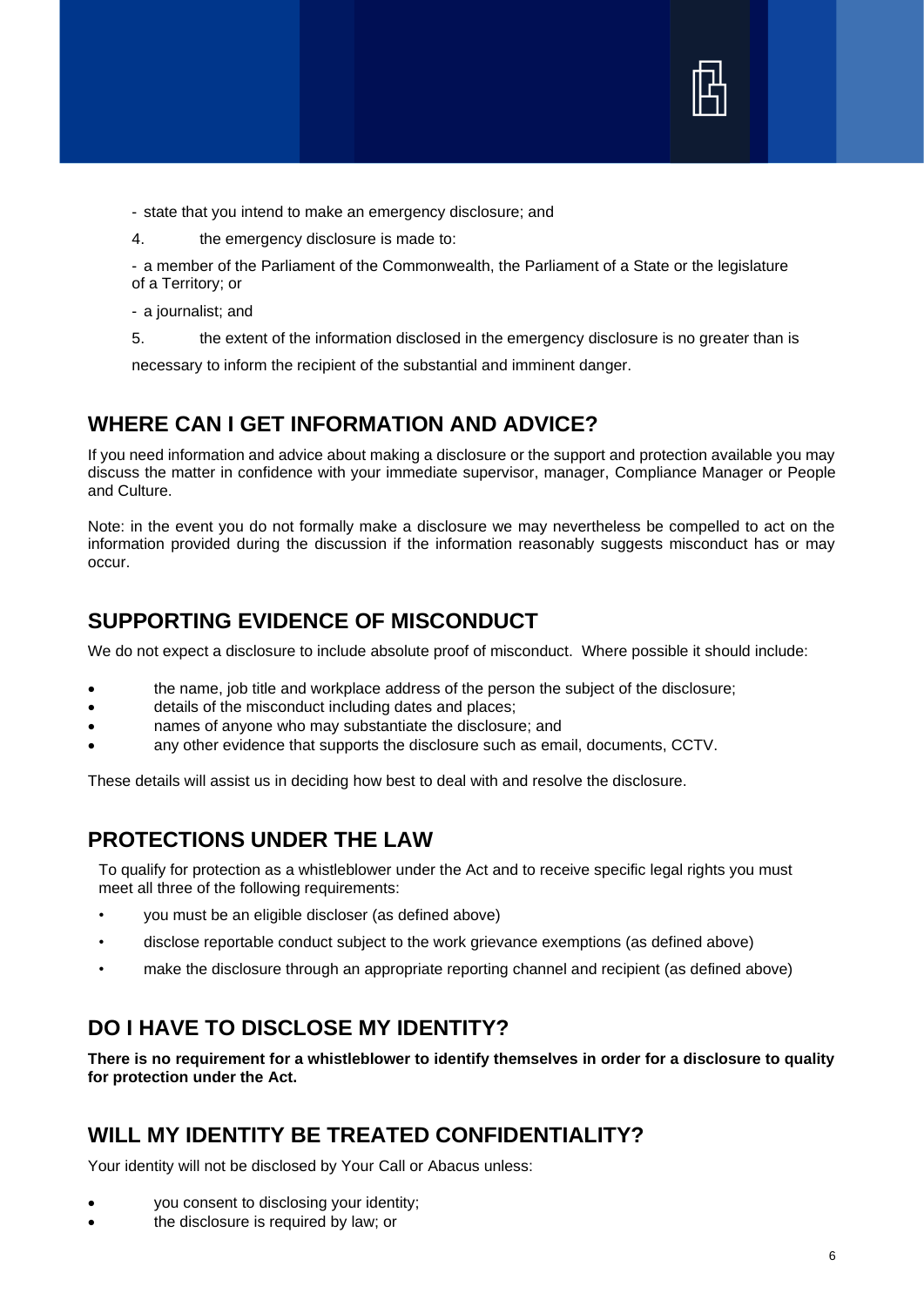

- state that you intend to make an emergency disclosure; and
- 4. the emergency disclosure is made to:
- a member of the Parliament of the Commonwealth, the Parliament of a State or the legislature of a Territory; or
- a journalist; and
- 5. the extent of the information disclosed in the emergency disclosure is no greater than is

necessary to inform the recipient of the substantial and imminent danger.

#### **WHERE CAN I GET INFORMATION AND ADVICE?**

If you need information and advice about making a disclosure or the support and protection available you may discuss the matter in confidence with your immediate supervisor, manager, Compliance Manager or People and Culture.

Note: in the event you do not formally make a disclosure we may nevertheless be compelled to act on the information provided during the discussion if the information reasonably suggests misconduct has or may occur.

#### **SUPPORTING EVIDENCE OF MISCONDUCT**

We do not expect a disclosure to include absolute proof of misconduct. Where possible it should include:

- the name, job title and workplace address of the person the subject of the disclosure;
- details of the misconduct including dates and places;
- names of anyone who may substantiate the disclosure; and
- any other evidence that supports the disclosure such as email, documents, CCTV.

These details will assist us in deciding how best to deal with and resolve the disclosure.

#### **PROTECTIONS UNDER THE LAW**

To qualify for protection as a whistleblower under the Act and to receive specific legal rights you must meet all three of the following requirements:

- you must be an eligible discloser (as defined above)
- disclose reportable conduct subject to the work grievance exemptions (as defined above)
- make the disclosure through an appropriate reporting channel and recipient (as defined above)

# **DO I HAVE TO DISCLOSE MY IDENTITY?**

**There is no requirement for a whistleblower to identify themselves in order for a disclosure to quality for protection under the Act.**

### **WILL MY IDENTITY BE TREATED CONFIDENTIALITY?**

Your identity will not be disclosed by Your Call or Abacus unless:

- you consent to disclosing your identity;
- the disclosure is required by law; or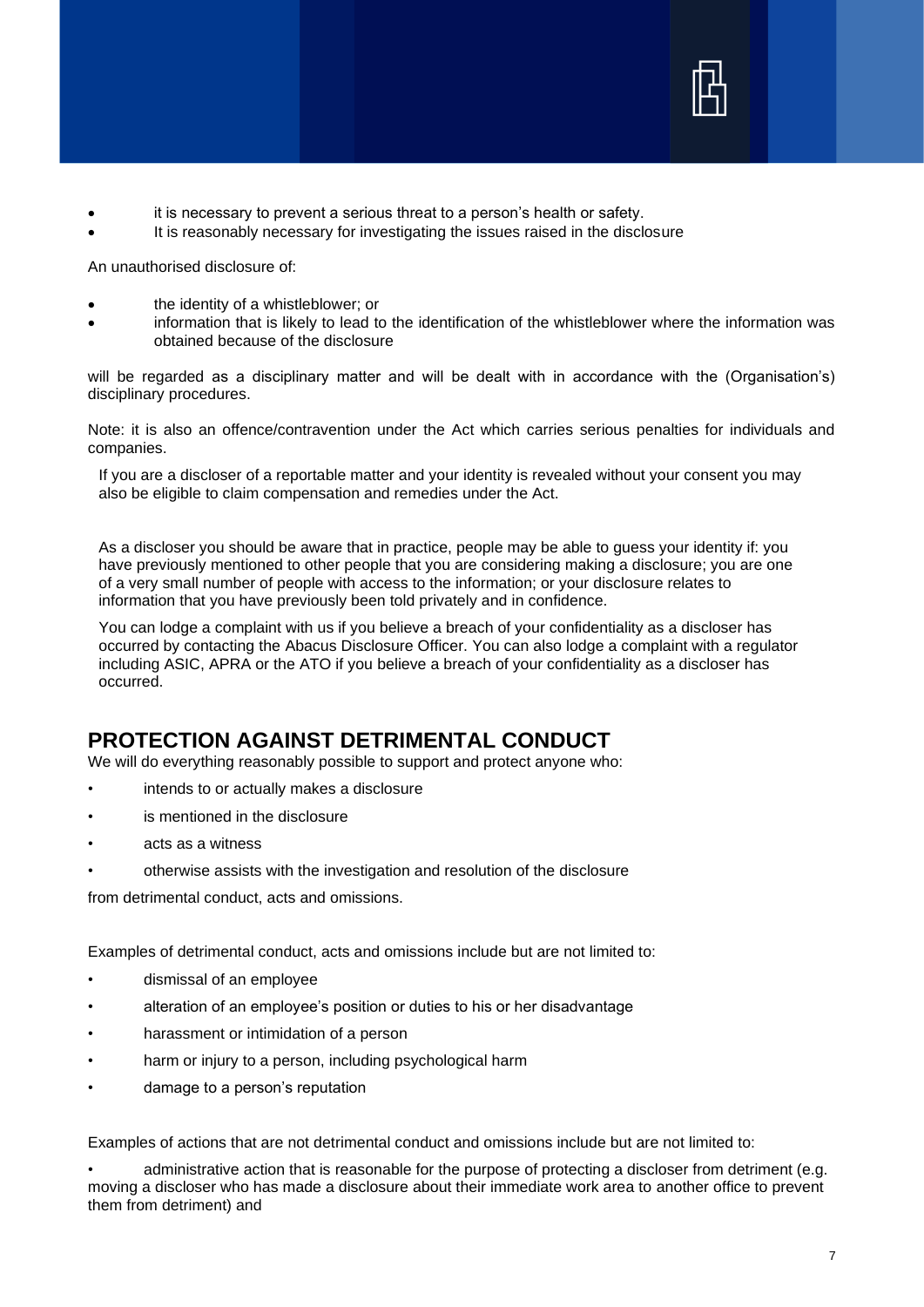

- it is necessary to prevent a serious threat to a person's health or safety.
- It is reasonably necessary for investigating the issues raised in the disclosure

An unauthorised disclosure of:

- the identity of a whistleblower; or
- information that is likely to lead to the identification of the whistleblower where the information was obtained because of the disclosure

will be regarded as a disciplinary matter and will be dealt with in accordance with the (Organisation's) disciplinary procedures.

Note: it is also an offence/contravention under the Act which carries serious penalties for individuals and companies.

If you are a discloser of a reportable matter and your identity is revealed without your consent you may also be eligible to claim compensation and remedies under the Act.

As a discloser you should be aware that in practice, people may be able to guess your identity if: you have previously mentioned to other people that you are considering making a disclosure; you are one of a very small number of people with access to the information; or your disclosure relates to information that you have previously been told privately and in confidence.

You can lodge a complaint with us if you believe a breach of your confidentiality as a discloser has occurred by contacting the Abacus Disclosure Officer. You can also lodge a complaint with a regulator including ASIC, APRA or the ATO if you believe a breach of your confidentiality as a discloser has occurred.

# **PROTECTION AGAINST DETRIMENTAL CONDUCT**

We will do everything reasonably possible to support and protect anyone who:

- intends to or actually makes a disclosure
- is mentioned in the disclosure
- acts as a witness
- otherwise assists with the investigation and resolution of the disclosure

from detrimental conduct, acts and omissions.

Examples of detrimental conduct, acts and omissions include but are not limited to:

- dismissal of an employee
- alteration of an employee's position or duties to his or her disadvantage
- harassment or intimidation of a person
- harm or injury to a person, including psychological harm
- damage to a person's reputation

Examples of actions that are not detrimental conduct and omissions include but are not limited to:

• administrative action that is reasonable for the purpose of protecting a discloser from detriment (e.g. moving a discloser who has made a disclosure about their immediate work area to another office to prevent them from detriment) and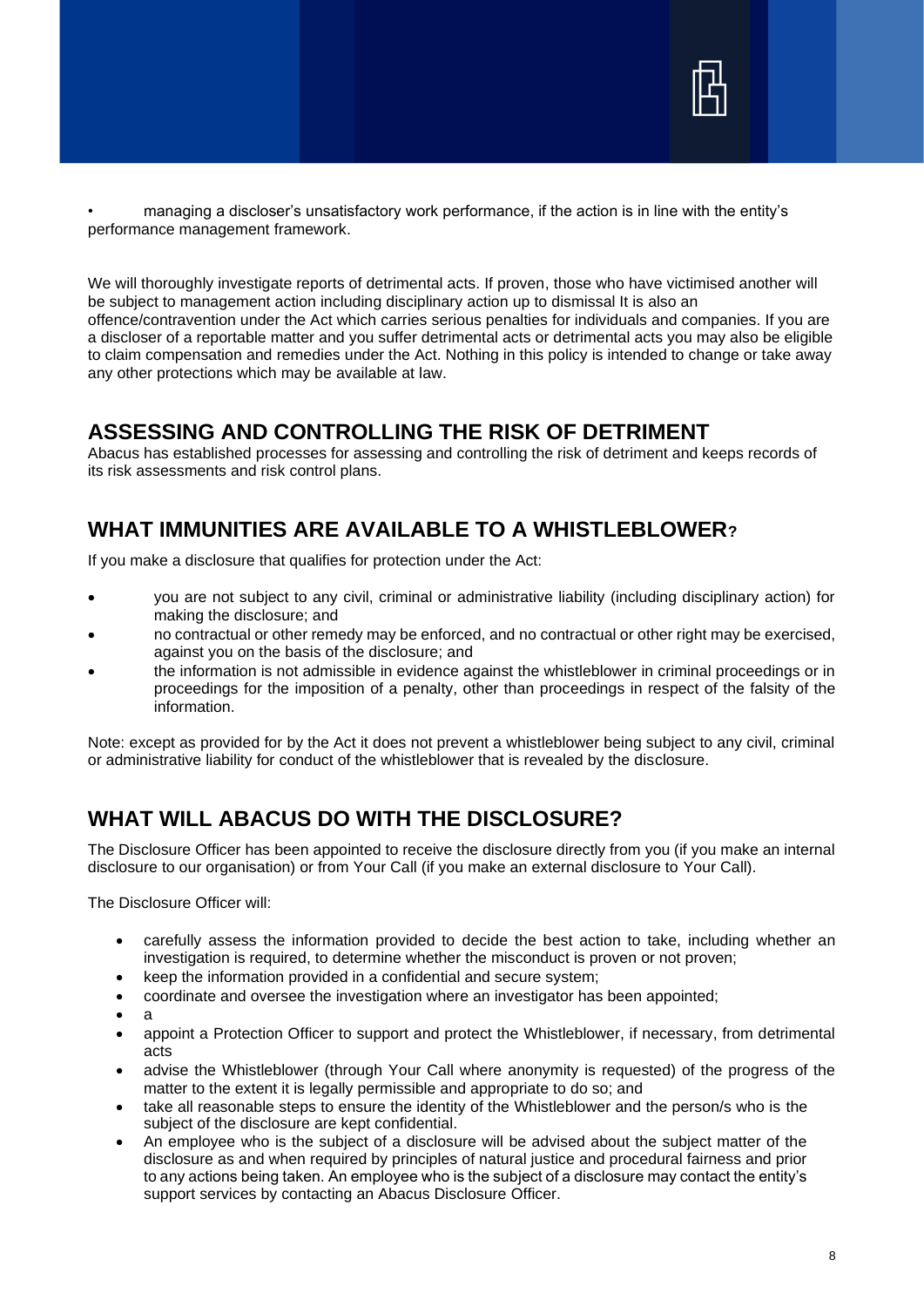

• managing a discloser's unsatisfactory work performance, if the action is in line with the entity's performance management framework.

We will thoroughly investigate reports of detrimental acts. If proven, those who have victimised another will be subject to management action including disciplinary action up to dismissal It is also an offence/contravention under the Act which carries serious penalties for individuals and companies. If you are a discloser of a reportable matter and you suffer detrimental acts or detrimental acts you may also be eligible to claim compensation and remedies under the Act. Nothing in this policy is intended to change or take away any other protections which may be available at law.

#### **ASSESSING AND CONTROLLING THE RISK OF DETRIMENT**

Abacus has established processes for assessing and controlling the risk of detriment and keeps records of its risk assessments and risk control plans.

#### **WHAT IMMUNITIES ARE AVAILABLE TO A WHISTLEBLOWER?**

If you make a disclosure that qualifies for protection under the Act:

- you are not subject to any civil, criminal or administrative liability (including disciplinary action) for making the disclosure; and
- no contractual or other remedy may be enforced, and no contractual or other right may be exercised, against you on the basis of the disclosure; and
- the information is not admissible in evidence against the whistleblower in criminal proceedings or in proceedings for the imposition of a penalty, other than proceedings in respect of the falsity of the information.

Note: except as provided for by the Act it does not prevent a whistleblower being subject to any civil, criminal or administrative liability for conduct of the whistleblower that is revealed by the disclosure.

#### **WHAT WILL ABACUS DO WITH THE DISCLOSURE?**

The Disclosure Officer has been appointed to receive the disclosure directly from you (if you make an internal disclosure to our organisation) or from Your Call (if you make an external disclosure to Your Call).

The Disclosure Officer will:

- carefully assess the information provided to decide the best action to take, including whether an investigation is required, to determine whether the misconduct is proven or not proven;
- keep the information provided in a confidential and secure system;
- coordinate and oversee the investigation where an investigator has been appointed;
- a
- appoint a Protection Officer to support and protect the Whistleblower, if necessary, from detrimental acts
- advise the Whistleblower (through Your Call where anonymity is requested) of the progress of the matter to the extent it is legally permissible and appropriate to do so; and
- take all reasonable steps to ensure the identity of the Whistleblower and the person/s who is the subject of the disclosure are kept confidential.
- An employee who is the subject of a disclosure will be advised about the subject matter of the disclosure as and when required by principles of natural justice and procedural fairness and prior to any actions being taken. An employee who is the subject of a disclosure may contact the entity's support services by contacting an Abacus Disclosure Officer.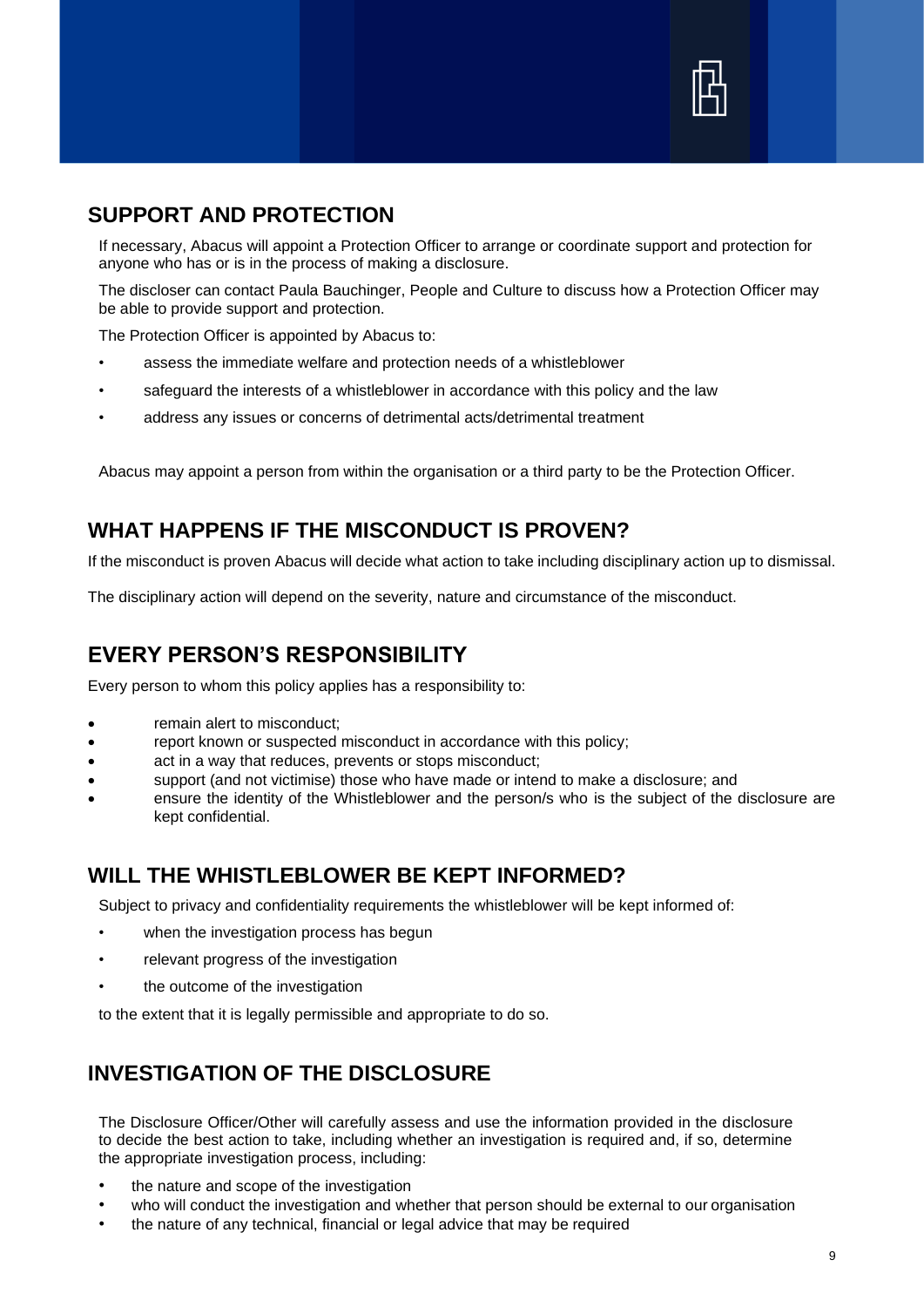

#### **SUPPORT AND PROTECTION**

If necessary, Abacus will appoint a Protection Officer to arrange or coordinate support and protection for anyone who has or is in the process of making a disclosure.

The discloser can contact Paula Bauchinger, People and Culture to discuss how a Protection Officer may be able to provide support and protection.

The Protection Officer is appointed by Abacus to:

- assess the immediate welfare and protection needs of a whistleblower
- safeguard the interests of a whistleblower in accordance with this policy and the law
- address any issues or concerns of detrimental acts/detrimental treatment

Abacus may appoint a person from within the organisation or a third party to be the Protection Officer.

# **WHAT HAPPENS IF THE MISCONDUCT IS PROVEN?**

If the misconduct is proven Abacus will decide what action to take including disciplinary action up to dismissal.

The disciplinary action will depend on the severity, nature and circumstance of the misconduct.

#### **EVERY PERSON'S RESPONSIBILITY**

Every person to whom this policy applies has a responsibility to:

- remain alert to misconduct;
- report known or suspected misconduct in accordance with this policy;
- act in a way that reduces, prevents or stops misconduct;
- support (and not victimise) those who have made or intend to make a disclosure; and
- ensure the identity of the Whistleblower and the person/s who is the subject of the disclosure are kept confidential.

#### **WILL THE WHISTLEBLOWER BE KEPT INFORMED?**

Subject to privacy and confidentiality requirements the whistleblower will be kept informed of:

- when the investigation process has begun
- relevant progress of the investigation
- the outcome of the investigation

to the extent that it is legally permissible and appropriate to do so.

# **INVESTIGATION OF THE DISCLOSURE**

The Disclosure Officer/Other will carefully assess and use the information provided in the disclosure to decide the best action to take, including whether an investigation is required and, if so, determine the appropriate investigation process, including:

- the nature and scope of the investigation
- who will conduct the investigation and whether that person should be external to our organisation
- the nature of any technical, financial or legal advice that may be required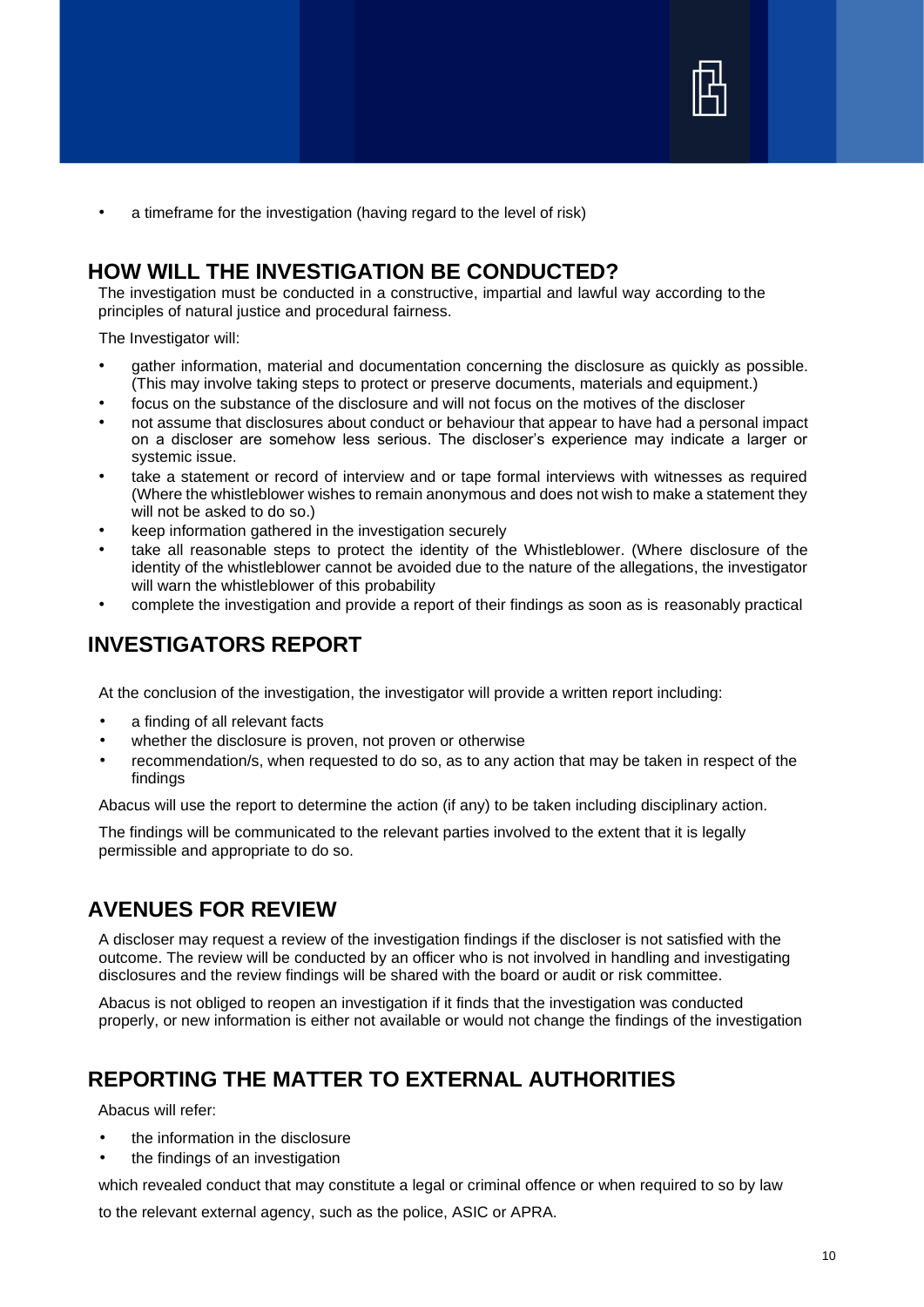

• a timeframe for the investigation (having regard to the level of risk)

#### **HOW WILL THE INVESTIGATION BE CONDUCTED?**

The investigation must be conducted in a constructive, impartial and lawful way according to the principles of natural justice and procedural fairness.

The Investigator will:

- gather information, material and documentation concerning the disclosure as quickly as possible. (This may involve taking steps to protect or preserve documents, materials and equipment.)
- focus on the substance of the disclosure and will not focus on the motives of the discloser
- not assume that disclosures about conduct or behaviour that appear to have had a personal impact on a discloser are somehow less serious. The discloser's experience may indicate a larger or systemic issue.
- take a statement or record of interview and or tape formal interviews with witnesses as required (Where the whistleblower wishes to remain anonymous and does not wish to make a statement they will not be asked to do so.)
- keep information gathered in the investigation securely
- take all reasonable steps to protect the identity of the Whistleblower. (Where disclosure of the identity of the whistleblower cannot be avoided due to the nature of the allegations, the investigator will warn the whistleblower of this probability
- complete the investigation and provide a report of their findings as soon as is reasonably practical

#### **INVESTIGATORS REPORT**

At the conclusion of the investigation, the investigator will provide a written report including:

- a finding of all relevant facts
- whether the disclosure is proven, not proven or otherwise
- recommendation/s, when requested to do so, as to any action that may be taken in respect of the findings

Abacus will use the report to determine the action (if any) to be taken including disciplinary action.

The findings will be communicated to the relevant parties involved to the extent that it is legally permissible and appropriate to do so.

#### **AVENUES FOR REVIEW**

A discloser may request a review of the investigation findings if the discloser is not satisfied with the outcome. The review will be conducted by an officer who is not involved in handling and investigating disclosures and the review findings will be shared with the board or audit or risk committee.

Abacus is not obliged to reopen an investigation if it finds that the investigation was conducted properly, or new information is either not available or would not change the findings of the investigation

## **REPORTING THE MATTER TO EXTERNAL AUTHORITIES**

Abacus will refer:

- the information in the disclosure
- the findings of an investigation

which revealed conduct that may constitute a legal or criminal offence or when required to so by law

to the relevant external agency, such as the police, ASIC or APRA.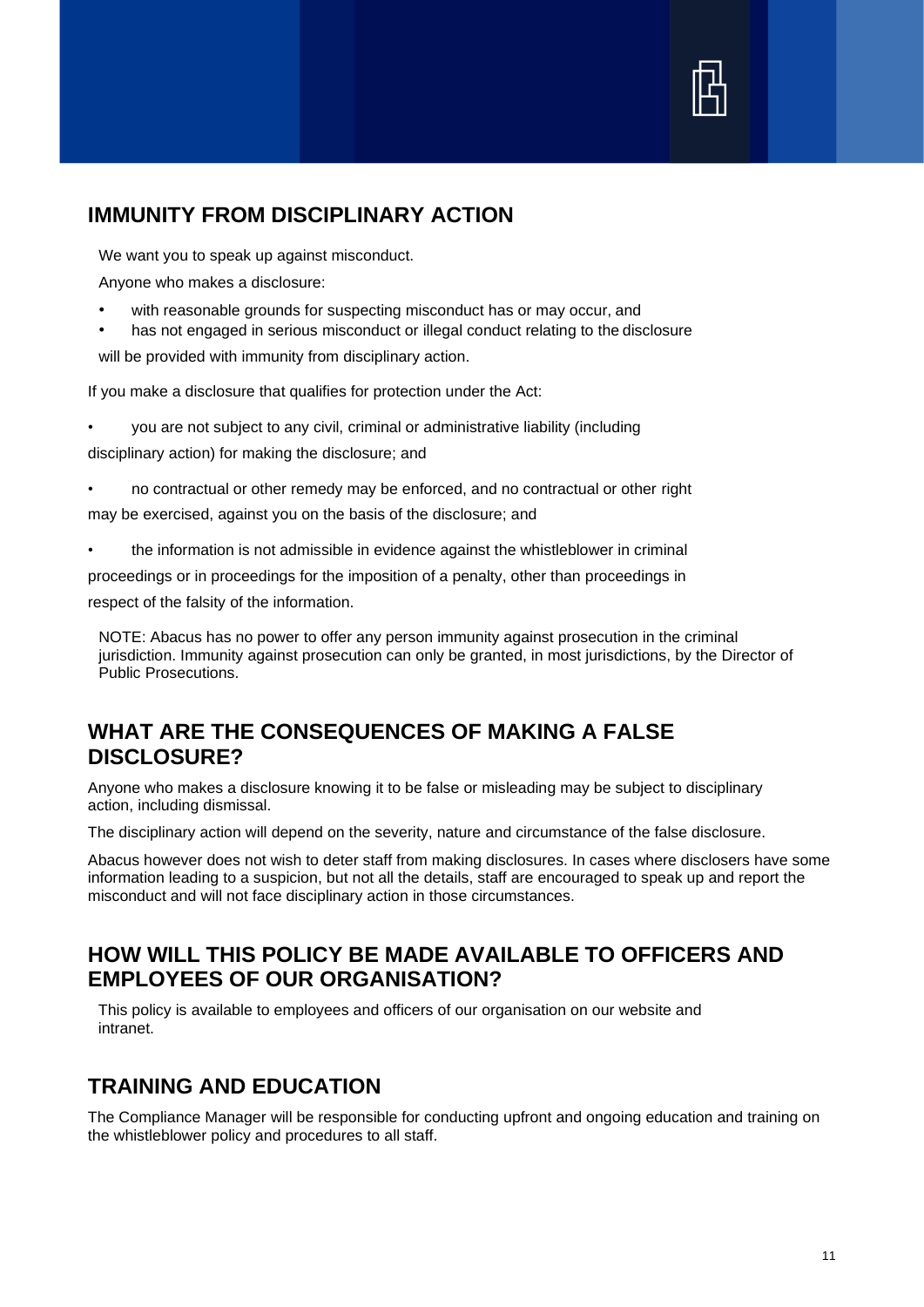

#### **IMMUNITY FROM DISCIPLINARY ACTION**

We want you to speak up against misconduct.

Anyone who makes a disclosure:

- with reasonable grounds for suspecting misconduct has or may occur, and
- has not engaged in serious misconduct or illegal conduct relating to the disclosure

will be provided with immunity from disciplinary action.

If you make a disclosure that qualifies for protection under the Act:

- you are not subject to any civil, criminal or administrative liability (including disciplinary action) for making the disclosure; and
- no contractual or other remedy may be enforced, and no contractual or other right may be exercised, against you on the basis of the disclosure; and
- the information is not admissible in evidence against the whistleblower in criminal

proceedings or in proceedings for the imposition of a penalty, other than proceedings in respect of the falsity of the information.

NOTE: Abacus has no power to offer any person immunity against prosecution in the criminal jurisdiction. Immunity against prosecution can only be granted, in most jurisdictions, by the Director of Public Prosecutions.

#### **WHAT ARE THE CONSEQUENCES OF MAKING A FALSE DISCLOSURE?**

Anyone who makes a disclosure knowing it to be false or misleading may be subject to disciplinary action, including dismissal.

The disciplinary action will depend on the severity, nature and circumstance of the false disclosure.

Abacus however does not wish to deter staff from making disclosures. In cases where disclosers have some information leading to a suspicion, but not all the details, staff are encouraged to speak up and report the misconduct and will not face disciplinary action in those circumstances.

#### **HOW WILL THIS POLICY BE MADE AVAILABLE TO OFFICERS AND EMPLOYEES OF OUR ORGANISATION?**

This policy is available to employees and officers of our organisation on our website and intranet.

#### **TRAINING AND EDUCATION**

The Compliance Manager will be responsible for conducting upfront and ongoing education and training on the whistleblower policy and procedures to all staff.